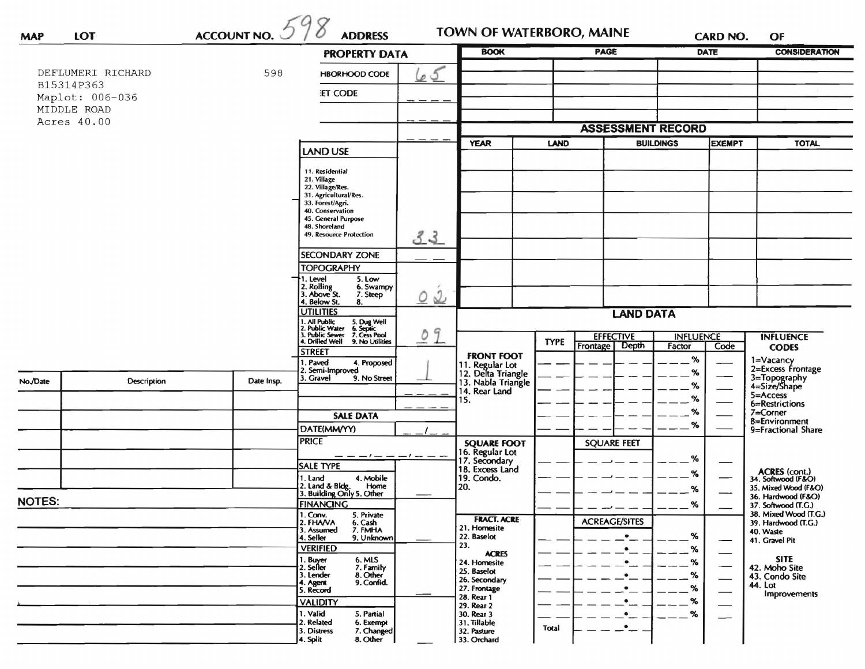| <b>MAP</b>    | <b>LOT</b>                    | <b>ACCOUNT NO.</b> | <b>ADDRESS</b>                                                                                                                                        |                             | TOWN OF WATERBORO, MAINE                                                            |                                 |                          | <b>CARD NO.</b>  |                                           | OF                                                          |  |
|---------------|-------------------------------|--------------------|-------------------------------------------------------------------------------------------------------------------------------------------------------|-----------------------------|-------------------------------------------------------------------------------------|---------------------------------|--------------------------|------------------|-------------------------------------------|-------------------------------------------------------------|--|
|               |                               |                    | <b>PROPERTY DATA</b>                                                                                                                                  |                             | <b>BOOK</b>                                                                         |                                 | <b>PAGE</b>              |                  | <b>DATE</b>                               | <b>CONSIDERATION</b>                                        |  |
|               | DEFLUMERI RICHARD             | 598                | 65<br><b>HBORHOOD CODE</b>                                                                                                                            |                             |                                                                                     |                                 |                          |                  |                                           |                                                             |  |
|               | B15314P363<br>Maplot: 006-036 |                    | <b>ET CODE</b>                                                                                                                                        |                             |                                                                                     |                                 |                          |                  |                                           |                                                             |  |
| MIDDLE ROAD   |                               |                    |                                                                                                                                                       |                             |                                                                                     |                                 |                          |                  |                                           |                                                             |  |
|               | Acres 40.00                   |                    |                                                                                                                                                       |                             | <b>ASSESSMENT RECORD</b>                                                            |                                 |                          |                  |                                           |                                                             |  |
|               |                               |                    |                                                                                                                                                       |                             | <b>YEAR</b>                                                                         |                                 | LAND<br><b>BUILDINGS</b> |                  | <b>EXEMPT</b>                             | <b>TOTAL</b>                                                |  |
|               |                               |                    | <b>LAND USE</b>                                                                                                                                       |                             |                                                                                     |                                 |                          |                  |                                           |                                                             |  |
|               |                               |                    | 11. Residential<br>21. Village                                                                                                                        |                             |                                                                                     |                                 |                          |                  |                                           |                                                             |  |
|               |                               |                    | 22. Village/Res.<br>31. Agricultural/Res.                                                                                                             |                             |                                                                                     |                                 |                          |                  |                                           |                                                             |  |
|               |                               |                    | 33. Forest/Agri.<br>40. Conservation                                                                                                                  |                             |                                                                                     |                                 |                          |                  |                                           |                                                             |  |
|               |                               |                    | 45. General Purpose<br>48. Shoreland                                                                                                                  |                             |                                                                                     |                                 |                          |                  |                                           |                                                             |  |
|               |                               |                    | 49. Resource Protection<br>33                                                                                                                         |                             |                                                                                     |                                 |                          |                  |                                           |                                                             |  |
|               |                               |                    | <b>SECONDARY ZONE</b>                                                                                                                                 |                             |                                                                                     |                                 |                          |                  |                                           |                                                             |  |
|               |                               |                    | <b>TOPOGRAPHY</b>                                                                                                                                     |                             |                                                                                     |                                 |                          |                  |                                           |                                                             |  |
|               |                               |                    | . Level<br>5. Low<br>2. Rolling<br>3. Above St.<br>6. Swampy                                                                                          |                             |                                                                                     |                                 |                          |                  |                                           |                                                             |  |
|               |                               |                    | 7. Steep<br>$\circ$<br>4. Below St.<br>8.                                                                                                             | $\mathcal{Q}$               |                                                                                     |                                 |                          |                  |                                           |                                                             |  |
|               |                               |                    | <b>UTILITIES</b>                                                                                                                                      |                             |                                                                                     |                                 | <b>LAND DATA</b>         |                  |                                           |                                                             |  |
|               |                               |                    | 1. All Public<br>2. Public Water<br>3. Public Sewer<br>5. Dug Well<br>6. Septic<br>7. Cess Pool<br>9<br>$\circ$<br>4. Drilled Well<br>9. No Utilities |                             |                                                                                     | <b>EFFECTIVE</b><br><b>TYPE</b> |                          | <b>INFLUENCE</b> |                                           | <b>INFLUENCE</b>                                            |  |
|               |                               |                    | STREET                                                                                                                                                |                             | <b>FRONT FOOT</b>                                                                   |                                 | Frontage<br>Depth        | Factor<br>%      | Code                                      | <b>CODES</b>                                                |  |
|               |                               |                    | . Paved<br>4. Proposed<br>2. Semi-Improved                                                                                                            |                             |                                                                                     |                                 |                          | %                |                                           | 1=Vacancy<br>2=Excess Frontage                              |  |
| No./Date      | Description                   | Date Insp.         | 3. Gravel<br>9. No Street                                                                                                                             |                             | 11. Regular Lot<br>12. Delta Triangle<br>13. Nabla Triangle<br>14. Rear Land<br>15. |                                 |                          | %                |                                           | 3=Topography<br>4=Size/Shape                                |  |
|               |                               |                    |                                                                                                                                                       |                             |                                                                                     |                                 |                          | %<br>%<br>℅      |                                           | 5=Access<br>6=Restrictions                                  |  |
|               |                               |                    | <b>SALE DATA</b>                                                                                                                                      |                             |                                                                                     |                                 |                          |                  |                                           | $7 =$ Corner<br>8=Environment<br>9=Fractional Share         |  |
|               |                               |                    | DATE(MM/YY)                                                                                                                                           |                             |                                                                                     |                                 |                          |                  |                                           |                                                             |  |
|               |                               |                    | <b>PRICE</b>                                                                                                                                          |                             | <b>SQUARE FOOT</b><br>16. Regular Lot<br>17. Secondary                              |                                 | <b>SQUARE FEET</b>       |                  |                                           |                                                             |  |
|               |                               |                    | <b>SALE TYPE</b>                                                                                                                                      |                             | 18. Excess Land                                                                     |                                 |                          | %                |                                           |                                                             |  |
|               |                               |                    | 4. Mobile<br>1. Land<br>Home                                                                                                                          | 20.                         | 19. Condo.                                                                          |                                 |                          | ℅                |                                           | ACRES (cont.)<br>34. Softwood (F&O)<br>35. Mixed Wood (F&O) |  |
| <b>NOTES:</b> |                               |                    | 2. Land & Bldg. Home<br>3. Building Only 5. Other<br><b>FINANCING</b>                                                                                 |                             |                                                                                     |                                 |                          | %<br>%           | 36. Hardwood (F&O)<br>37. Softwood (T.G.) |                                                             |  |
|               |                               |                    | 1. Conv.<br>5. Private                                                                                                                                |                             | <b>FRACT. ACRE</b>                                                                  |                                 | <b>ACREAGE/SITES</b>     |                  |                                           | 38. Mixed Wood (T.G.)                                       |  |
|               |                               |                    | 2. FHANA<br>6. Cash<br>7. FMHA<br>3. Assumed<br>4. Seller<br>9. Unknown                                                                               | 22. Baselot                 | 21. Homesite                                                                        |                                 |                          | %                |                                           | 39. Hardwood (T.G.)<br>40. Waste                            |  |
|               |                               |                    | <b>VERIFIED</b>                                                                                                                                       | 23.                         | <b>ACRES</b>                                                                        |                                 |                          | %                |                                           | 41. Gravel Pit                                              |  |
|               |                               |                    | 6. MLS<br>1. Buyer<br>2. Seller<br>7. Family                                                                                                          |                             | 24. Homesite<br>25. Baselot                                                         |                                 |                          | %                |                                           | <b>SITE</b><br>42. Moho Site                                |  |
|               |                               |                    | 8. Other<br>3. Lender<br>9. Confid.<br>4. Agent                                                                                                       |                             | 26. Secondary                                                                       |                                 | $\bullet$                | %                |                                           | 43. Condo Site<br>44. Lot                                   |  |
|               |                               |                    | 5. Record<br><b>VALIDITY</b>                                                                                                                          | 28. Rear 1                  | 27. Frontage                                                                        |                                 | $\bullet$<br>$\bullet$   | %<br>%           |                                           | Improvements                                                |  |
|               |                               |                    | 1. Valid<br>5. Partial                                                                                                                                | 29. Rear 2<br>30. Rear 3    |                                                                                     |                                 | $\bullet$                | %                |                                           |                                                             |  |
|               |                               |                    | 2. Related<br>6. Exempt<br>3. Distress<br>7. Changed                                                                                                  | 31. Tillable<br>32. Pasture |                                                                                     | Total                           | $\bullet$                |                  |                                           |                                                             |  |
|               |                               |                    | 8. Other<br>4. Split                                                                                                                                  |                             | 33. Orchard                                                                         |                                 |                          |                  |                                           |                                                             |  |